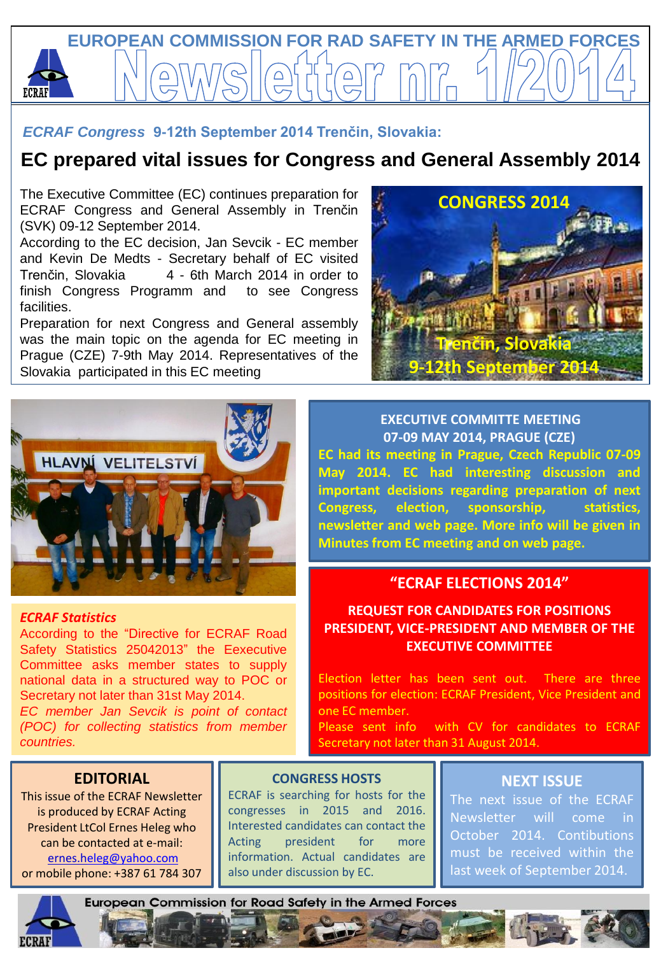

### *ECRAF Congress* **9-12th September 2014 Trenčin, Slovakia:**

# **EC prepared vital issues for Congress and General Assembly 2014**

The Executive Committee (EC) continues preparation for ECRAF Congress and General Assembly in Trenčin (SVK) 09-12 September 2014.

According to the EC decision, Jan Sevcik - EC member and Kevin De Medts - Secretary behalf of EC visited Trenčin, Slovakia 4 - 6th March 2014 in order to finish Congress Programm and to see Congress facilities.

Preparation for next Congress and General assembly was the main topic on the agenda for EC meeting in Prague (CZE) 7-9th May 2014. Representatives of the Slovakia participated in this EC meeting





#### *ECRAF Statistics*

According to the "Directive for ECRAF Road Safety Statistics 25042013" the Eexecutive Committee asks member states to supply national data in a structured way to POC or Secretary not later than 31st May 2014. *EC member Jan Sevcik is point of contact (POC) for collecting statistics from member countries.*

**EXECUTIVE COMMITTE MEETING 07-09 MAY 2014, PRAGUE (CZE) EC had its meeting in Prague, Czech Republic 07-09 May 2014. EC had interesting discussion and important decisions regarding preparation of next Congress, election, sponsorship, statistics, newsletter and web page. More info will be given in Minutes from EC meeting and on web page.**

#### **"ECRAF ELECTIONS 2014"**

### **REQUEST FOR CANDIDATES FOR POSITIONS PRESIDENT, VICE-PRESIDENT AND MEMBER OF THE EXECUTIVE COMMITTEE**

Election letter has been sent out. There are three positions for election: ECRAF President, Vice President and one EC member.

Please sent info with CV for candidates to ECRAF Secretary not later than 31 August 2014.

### **EDITORIAL**

This issue of the ECRAF Newsletter is produced by ECRAF Acting President LtCol Ernes Heleg who can be contacted at e-mail: ernes.[heleg@yahoo.com](mailto:heleg@mail.com) or mobile phone: +387 61 784 307

#### **CONGRESS HOSTS**

ECRAF is searching for hosts for the congresses in 2015 and 2016. Interested candidates can contact the Acting president for more information. Actual candidates are also under discussion by EC.

#### **NEXT ISSUE**

The next issue of the ECRAF Newsletter will come in October 2014. Contibutions must be received within the last week of September 2014.

**European Commission for Road Safety in the Armed Forces**